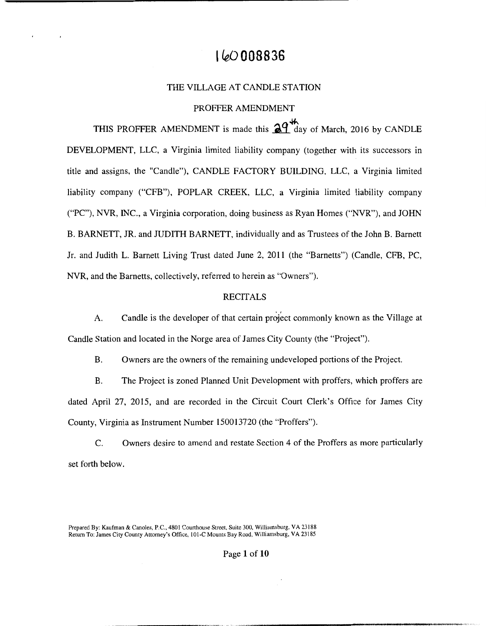# I **~008836**

## THE VILLAGE AT CANDLE STATION

### PROFFER AMENDMENT

THIS PROFFER AMENDMENT is made this  $\mathbb{R}^4$  day of March, 2016 by CANDLE DEVELOPMENT, LLC, a Virginia limited liability company (together with its successors in title and assigns, the "Candle"), CANDLE FACTORY BUILDING, LLC, a Virginia limited liability company ("CFB"), POPLAR CREEK, LLC, a Virginia limited liability company ("PC"), NVR, INC., a Virginia corporation, doing business as Ryan Homes ("NVR"), and JOHN B. BARNETT, JR. and JUDITH BARNETT, individually and as Trustees of the John B. Barnett Jr. and Judith L. Barnett Living Trust dated June 2, 2011 (the "Barnetts") (Candle, CFB, PC, **NVR,** and the Barnetts, collectively, referred to herein as "Owners").

#### **RECITALS**

A. Candle is the developer of that certain project commonly known as the Village at Candle Station and located in the Norge area of James City County (the "Project").

B. Owners are the owners of the remaining undeveloped portions of the Project.

B. The Project is zoned Planned Unit Development with proffers, which proffers are dated April 27, 2015, and are recorded in the Circuit Court Clerk's Office for James City County, Virginia as Instrument Number 150013720 (the "Proffers").

C. Owners desire to amend and restate Section 4 of the Proffers as more particularly set forth below.

Prepared By: Kaufman & Canales, P.C., 480 I Courthouse Street, Suite 300, Williamsburg, VA 23188 Return To: James City County Attorney's Office, 101-C Mounts Bay Road, Williamsburg, VA 23185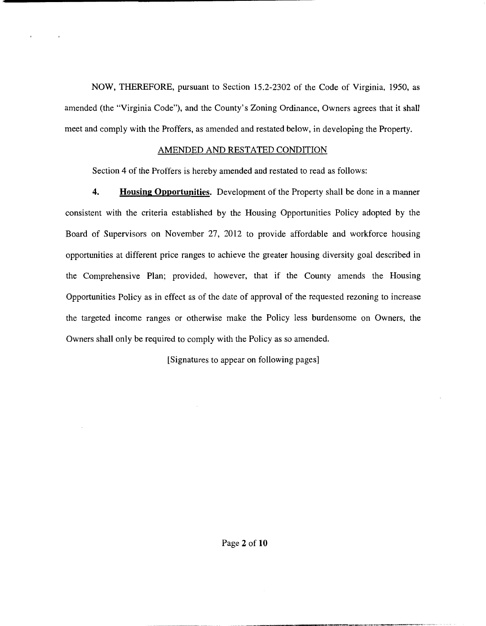NOW, THEREFORE, pursuant to Section 15.2-2302 of the Code of Virginia, 1950, as amended (the "Virginia Code"), and the County's Zoning Ordinance, Owners agrees that it shall meet and comply with the Proffers, as amended and restated below, in developing the Property.

# AMENDED AND RESTATED CONDITION

Section 4 of the Proffers is hereby amended and restated to read as follows:

**4. Housing Opportunities.** Development of the Property shall be done in a manner consistent with the criteria established by the Housing Opportunities Policy adopted by the Board of Supervisors on November 27, 2012 to provide affordable and workforce housing opportunities at different price ranges to achieve the greater housing diversity goal described in the Comprehensive Plan; provided, however, that if the County amends the Housing Opportunities Policy as in effect as of the date of approval of the requested rezoning to increase the targeted income ranges or otherwise make the Policy less burdensome on Owners, the Owners shall only be required to comply with the Policy as so amended.

[Signatures to appear on following pages]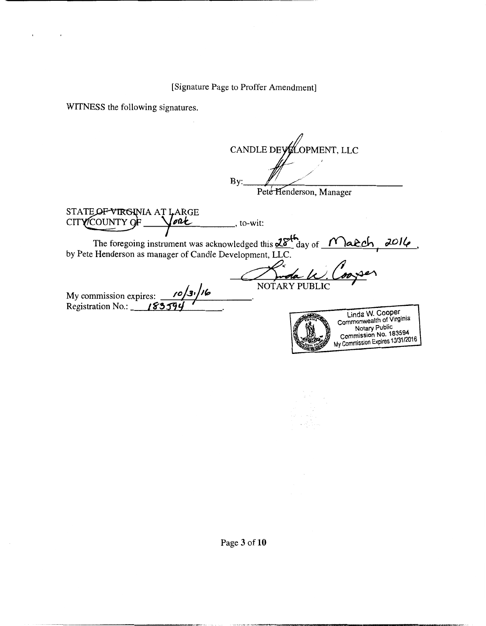**WITNESS** the following signatures.

CANDLE DEYLOPMENT, LLC  $By:$ Pete Henderson, Manager STATE OF VIRGINIA AT LARGE<br>CITY COUNTY OF <u>Vout</u><br>The CITY COUNTY OF ALL dged this <u>28th</u><br>opment, LLC.<br>MOTARY PUBLIC The foregoing instrument was acknowledged this  $\frac{dS}{dx}$  day of  $f'$  also be  $f'$ by Pete Henderson as manager of Candle Development, LLC. NOTARY PUBLIC My commission expires: *10*/3<sup>1</sup>/16 Registration No.: **183594** Linda W. Cooper<br>Commonwealth of Virginia<br>Notary Public Notary Public Commission No. 183594 My Commission Expires 10/31/2016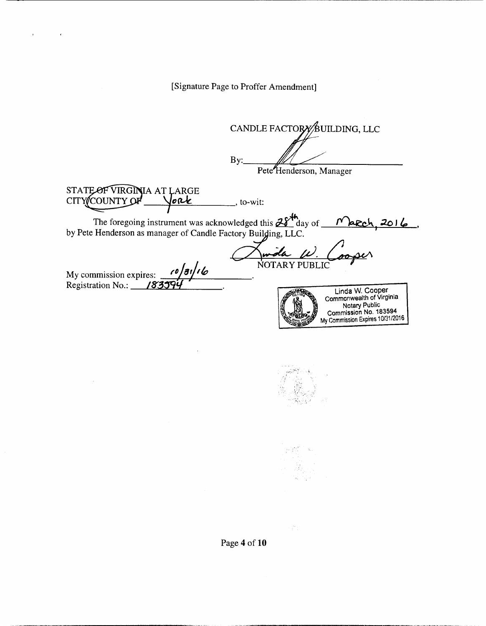CANDLE FACTORY BUILDING, LLC By: Pete<sup>H</sup>enderson, Manager STATE OF VIRGINIA AT LARGE CITY COUNTY OF lork  $\overline{a}$ , to-wit: <u>March, 2016</u> NOTARY PUBLIC My commission expires: *(0)3i/16* Registration No.: 183094 Linda W. Cooper Commonwealth of Virginia Notary Public Commission No. 183594 My commission Expires 10/31/2016



a je p

Page **4 of 10**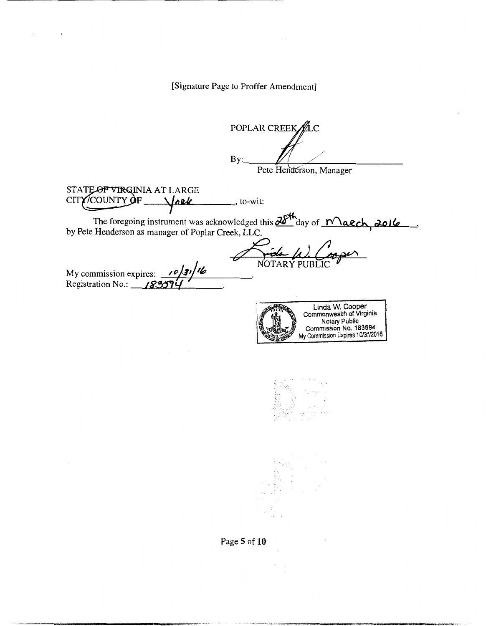POPLAR CREEK LC By: Pete Henderson, Manager STA~INIAATLARGE CITY/COUNTY OF *Joek* , to-wit: The foregoing instrument was acknowledged this  $\frac{\partial \delta^{4h}}{\partial \alpha}$  day of  $\Box$  *Natch, 2016*<br>by Pete Henderson as manager of Poplar Creek, LLC. *x*<br> *x*, LLC.<br>
NOTARY PUBLIC NOTARY PUBLIC My commission expires: *10*/31/16 wiy commission expires: *1994*<br>Registration No.: **183574** Linda W. Cooper Commonwealth of Virginia Notary Public Commission No. 183594 My Commission Expires 10/31/2016

Page **5** of **10**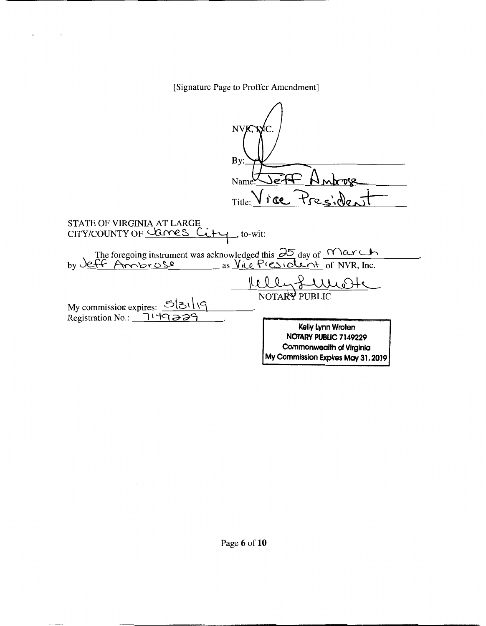| NVK.<br>$\mathbf{B}$ y                                                                      |  |  |  |
|---------------------------------------------------------------------------------------------|--|--|--|
| Nam                                                                                         |  |  |  |
| Title: Vice Preside.                                                                        |  |  |  |
| <b>STATE OF VIRGINIA AT LARGE</b><br>CITY/COUNTY OF Canes Cit<br>, to-wit:                  |  |  |  |
| The foregoing instrument was acknowledged this $\frac{\partial 5}{\partial 0}$ day of March |  |  |  |
| eff Ambrose<br>as Vice President of NVR, Inc.                                               |  |  |  |
|                                                                                             |  |  |  |
| NOTARY PUBLIC                                                                               |  |  |  |
| My commission expires: 5/31/19<br>Registration No.: 114929                                  |  |  |  |
| Kelly Lynn Wroten                                                                           |  |  |  |
| NOTARY PUBLIC 7149229<br><b>Commonwealth of Virginia</b>                                    |  |  |  |
| My Commission Expires May 31, 2019                                                          |  |  |  |

 $\gamma_{\rm e}$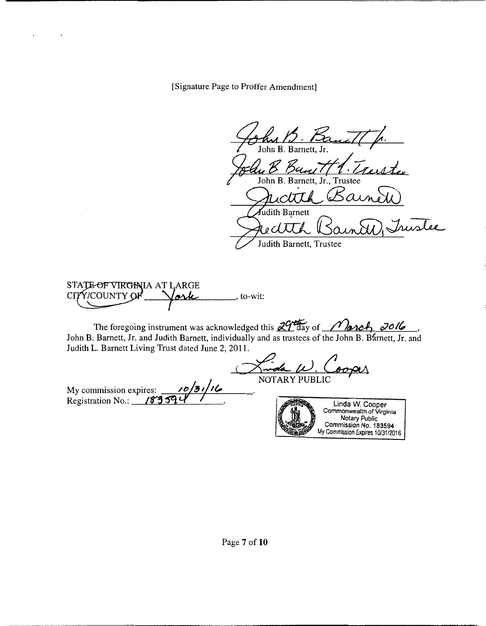John B. Baut / John B. Barnett, Jr., Trustee Ban 771. Trustee<br>B. Barnett, Jr., Trustee<br>Clith Barnew udith Barnett u Ctth Bainett<br>ith Barnett<br>ctth Bainard Juislee<br>ith Barnett, Trustee

S~IAATLARGE C1~ -y~ , to-wit:

The foregoing instrument was acknowledged this  $29$ <sup>th</sup>ay of *<i>March*, 2016 John B. Barnett, Jr. and Judith Barnett, individually and as trustees of the John B. Barnett, Jr. and Judith L. Barnett Living Trust dated June 2, 2011.

011. NOTARY PUBLIC

My commission expires:  $\frac{\sqrt{0}}{3!}$ Registration No.: 18359

Linda W. Cooper Commonwealth of Virginia Notary Public Commission No. 183594 My Commission Expires 10/31/2016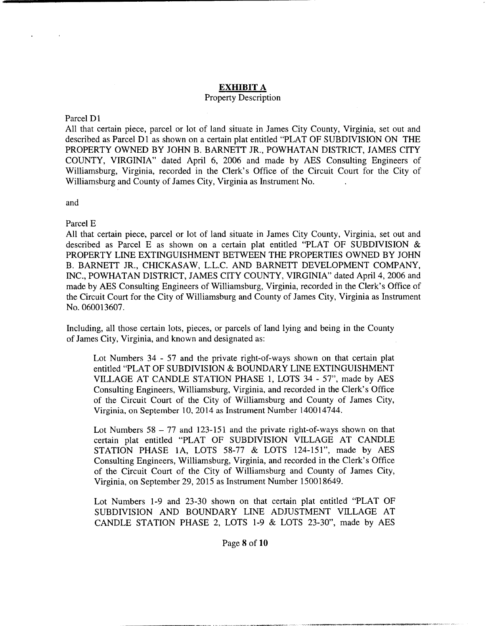### **EXHIBIT A**

#### Property Description

#### Parcel Dl

All that certain piece, parcel or lot of land situate in James City County, Virginia, set out and described as Parcel Dl as shown on a certain plat entitled "PLAT OF SUBDIVISION ON THE PROPERTY OWNED BY JOHN B. BARNETT JR., POWHATAN DISTRICT, JAMES CITY COUNTY, VIRGINIA" dated April 6, 2006 and made by AES Consulting Engineers of Williamsburg, Virginia, recorded in the Clerk's Office of the Circuit Court for the City of Williamsburg and County of James City, Virginia as Instrument No.

and

Parcel E

All that certain piece, parcel or lot of land situate in James City County, Virginia, set out and described as Parcel E as shown on a certain plat entitled "PLAT OF SUBDIVISION & PROPERTY LINE EXTINGUISHMENT BETWEEN THE PROPERTIES OWNED BY JOHN B. BARNETT JR., CHICKASAW, L.L.C. AND BARNETT DEVELOPMENT COMPANY, INC., POWHATAN DISTRICT, JAMES CITY COUNTY, VIRGINIA" dated April 4, 2006 and made by AES Consulting Engineers of Williamsburg, Virginia, recorded in the Clerk's Office of the Circuit Court for the City of Williamsburg and County of James City, Virginia as Instrument No. 060013607.

Including, all those certain lots, pieces, or parcels of land lying and being in the County of James City, Virginia, and known and designated as:

Lot Numbers 34 - 57 and the private right-of-ways shown on that certain plat entitled "PLAT OF SUBDIVISION & BOUNDARY LINE EXTINGUISHMENT VILLAGE AT CANDLE STATION PHASE 1, LOTS 34 - 57'', made by AES Consulting Engineers, Williamsburg, Virginia, and recorded in the Clerk's Office of the Circuit Court of the City of Williamsburg and County of James City, Virginia, on September 10, 2014 as Instrument Number 140014744.

Lot Numbers  $58 - 77$  and  $123 - 151$  and the private right-of-ways shown on that certain plat entitled "PLAT OF SUBDIVISION VILLAGE AT CANDLE STATION PHASE 1A, LOTS 58-77  $&$  LOTS 124-151", made by AES Consulting Engineers, Williamsburg, Virginia, and recorded in the Clerk's Office of the Circuit Court of the City of Williamsburg and County of James City, Virginia, on September 29, 2015 as Instrument Number 150018649.

Lot Numbers 1-9 and 23-30 shown on that certain plat entitled "PLAT OF SUBDIVISION AND BOUNDARY LINE ADJUSTMENT VILLAGE AT CANDLE STATION PHASE 2, LOTS 1-9 & LOTS 23-30", made by AES

#### Page **8** of 10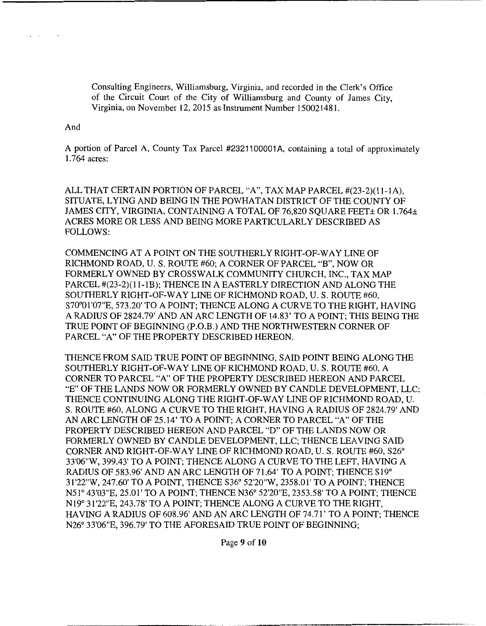Consulting Engineers, Williamsburg, Virginia, and recorded in the Clerk's Office of the Circuit Court of the City of Williamsburg and County of James City, Virginia, on November 12, 2015 as Instrument Number 150021481.

# And

A portion of Parcel A, County Tax Parcel #2321100001 A, containing a total of approximately 1.764 acres:

ALL THAT CERTAIN PORTION OF PARCEL "A", TAX MAP PARCEL #(23-2)(11-lA), SITUATE, LYING AND BEING IN THE POWHATAN DISTRICT OF THE COUNTY OF JAMES CITY, VIRGINIA, CONTAINING A TOTAL OF 76,820 SQUARE FEET± OR 1.764± ACRES MORE OR LESS AND BEING MORE PARTICULARLY DESCRIBED AS FOLLOWS:

COMMENCING AT A POINT ON THE SOUTHERLY RIGHT-OF-WAY LINE OF RICHMOND ROAD, U.S. ROUTE #60; A CORNER OF PARCEL "B", NOW OR FORMERLY OWNED BY CROSSWALK COMMUNITY CHURCH, INC., TAX MAP PARCEL #(23-2)(11-lB); THENCE IN A EASTERLY DIRECTION AND ALONG THE SOUTHERLY RIGHT-OF-WAY LINE OF RICHMOND ROAD, U.S. ROUTE #60, S70°01'07"E, 573.20' TO A POINT; THENCE ALONG A CURVE TO THE RIGHT, HAVING A RADIUS OF 2824.79' AND AN ARC LENGTH OF 14.83' TO A POINT; THIS BEING THE TRUE POINT OF BEGINNING (P.O.B.) AND THE NORTHWESTERN CORNER OF PARCEL "A" OF THE PROPERTY DESCRIBED HEREON.

THENCE FROM SAID TRUE POINT OF BEGINNING, SAID POINT BEING ALONG THE SOUTHERLY RIGHT-OF-WAY LINE OF RICHMOND ROAD, U.S. ROUTE #60, A CORNER TO PARCEL "A" OF THE PROPERTY DESCRIBED HEREON AND PARCEL "E" OF THE LANDS NOW OR FORMERLY OWNED BY CANDLE DEVELOPMENT, LLC; THENCE CONTINUING ALONG THE RIGHT-OF-WAY LINE OF RICHMOND ROAD, U. S. ROUTE #60, ALONG A CURVE TO THE RIGHT, HAVING A RADIUS OF 2824.79' AND AN ARC LENGTH OF 25.14' TO A POINT; A CORNER TO PARCEL "A" OF THE PROPERTY DESCRIBED HEREON AND PARCEL "D" OF THE LANDS NOW OR FORMERLY OWNED BY CANDLE DEVELOPMENT, LLC; THENCE LEA YING SAID CORNER AND RIGHT-OF-WAY LINE OF RICHMOND ROAD, U.S. ROUTE #60, S26° 33'06"W, 399.43' TO A POINT; THENCE ALONG A CURVE TO THE LEFT, HAVING A RADIUS OF 583.96' AND AN ARC LENGTH OF 71.64' TO A POINT; THENCE Sl9° 31'22"W, 247.60' TO A POINT, THENCE S36° 52'20"W, 2358.01' TO A POINT; THENCE N51° 43'03"E, 25.01' TO A POINT; THENCE N36° 52'20"E, 2353.58' TO A POINT; THENCE Nl9° 31'22"E, 243.78' TO A POINT; THENCE ALONG A CURVE TO THE RIGHT, HAVING A RADIUS OF 608.96' AND AN ARC LENGTH OF 74.71' TO A POINT; THENCE N26° 33'06"E, 396.79' TO THE AFORESAID TRUE POINT OF BEGINNING;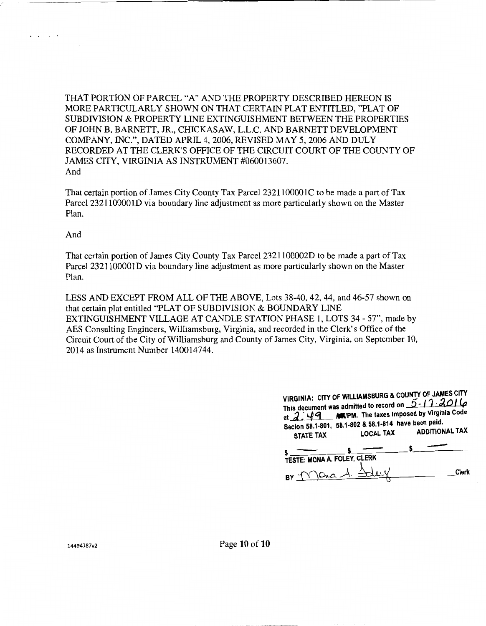THAT PORTION OF PARCEL "A" AND THE PROPERTY DESCRIBED HEREON IS MORE PARTICULARLY SHOWN ON THAT CERTAIN PLAT ENTITLED, "PLAT OF SUBDIVISION & PROPERTY LINE EXTINGUISHMENT BETWEEN THE PROPERTIES OF JOHN B. BARNETT, JR., CHICKASAW, L.L.C. AND BARNETT DEVELOPMENT COMPANY, INC.", DATED APRIL 4, 2006, REVISED MAY 5, 2006 AND DULY RECORDED AT THE CLERK'S OFFICE OF THE CIRCUIT COURT OF THE COUNTY OF JAMES CITY, VIRGINIA AS INSTRUMENT #060013607. And

That certain portion of James City County Tax Parcel 2321100001C to be made a part of Tax Parcel 2321100001D via boundary line adjustment as more particularly shown on the Master Plan.

And

 $\ddot{\phantom{0}}$  $\sim 10^{-1}$ 

> That certain portion of James City County Tax Parcel 2321100002D to be made a part of Tax Parcel 2321100001D via boundary line adjustment as more particularly shown on the Master Plan.

LESS AND EXCEPT FROM ALL OF THE ABOVE, Lots 38-40, 42, 44, and 46-57 shown on that certain plat entitled "PLAT OF SUBDIVISION & BOUNDARY LINE EXTINGUISHMENT VILLAGE AT CANDLE STATION PHASE 1, LOTS 34- 57", made by AES Consulting Engineers, Williamsburg, Virginia, and recorded in the Clerk's Office of the Circuit Court of the City of Williamsburg and County of James City, Virginia, on September 10, 2014 as Instrument Number 140014744.

| Secion 58.1-801, 58.1-802 & 58.1-814 have been paid.<br><b>STATE TAX</b> | <b>LOCAL TAX</b> | VIRGINIA: CITY OF WILLIAMSBURG & COUNTY OF JAMES CITY<br>This document was admitted to record on 5-17 2016<br>at 2.49 MIPM. The taxes imposed by Virginia Code<br><b>ADDITIONAL TAX</b> |
|--------------------------------------------------------------------------|------------------|-----------------------------------------------------------------------------------------------------------------------------------------------------------------------------------------|
|                                                                          |                  |                                                                                                                                                                                         |
| <b>TESTE: MONA A. FOLEY, CLERK</b>                                       |                  |                                                                                                                                                                                         |
| BY MORA                                                                  |                  | Clerk                                                                                                                                                                                   |

14494787v2 Page 10 of 10